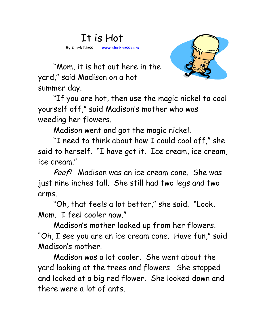## It is Hot By Clark Ness www.clarkness.com



 "Mom, it is hot out here in the yard," said Madison on a hot summer day.

 "If you are hot, then use the magic nickel to cool yourself off," said Madison's mother who was weeding her flowers.

Madison went and got the magic nickel.

 "I need to think about how I could cool off," she said to herself. "I have got it. Ice cream, ice cream, ice cream."

Poof! Madison was an ice cream cone. She was just nine inches tall. She still had two legs and two arms.

 "Oh, that feels a lot better," she said. "Look, Mom. I feel cooler now."

 Madison's mother looked up from her flowers. "Oh, I see you are an ice cream cone. Have fun," said Madison's mother.

 Madison was a lot cooler. She went about the yard looking at the trees and flowers. She stopped and looked at a big red flower. She looked down and there were a lot of ants.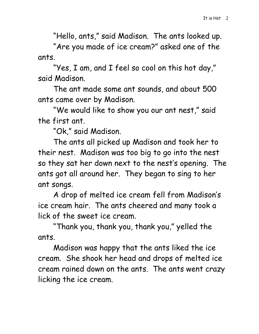"Hello, ants," said Madison. The ants looked up.

 "Are you made of ice cream?" asked one of the ants.

 "Yes, I am, and I feel so cool on this hot day," said Madison.

 The ant made some ant sounds, and about 500 ants came over by Madison.

 "We would like to show you our ant nest," said the first ant.

"Ok," said Madison.

 The ants all picked up Madison and took her to their nest. Madison was too big to go into the nest so they sat her down next to the nest's opening. The ants got all around her. They began to sing to her ant songs.

A drop of melted ice cream fell from Madison's ice cream hair. The ants cheered and many took a lick of the sweet ice cream.

"Thank you, thank you, thank you," yelled the ants.

Madison was happy that the ants liked the ice cream. She shook her head and drops of melted ice cream rained down on the ants. The ants went crazy licking the ice cream.